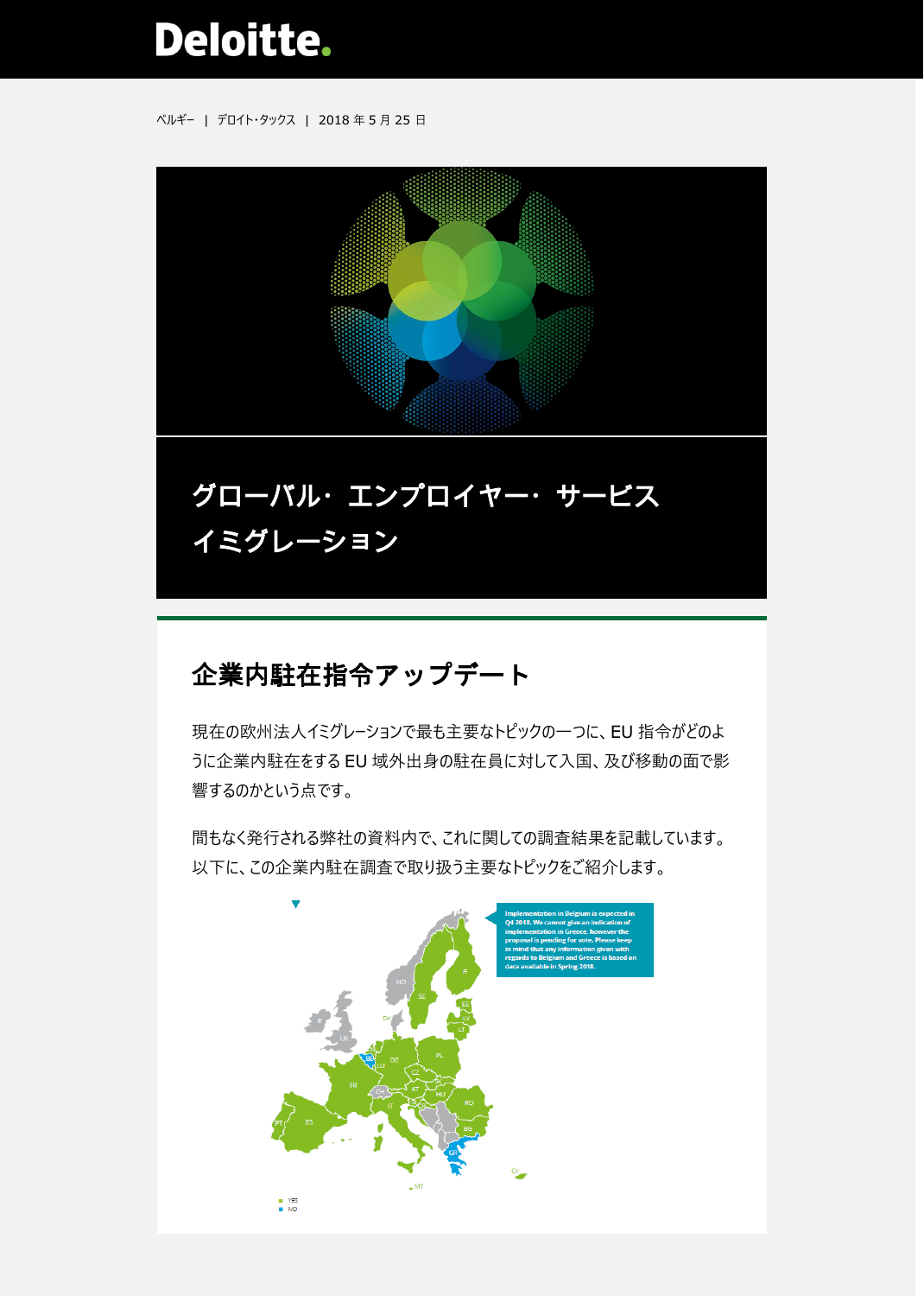# **Deloitte.**

ベルギー | デロイト・タックス | 2018 年 5 月 25 日



# 企業内駐在指令アップデート

現在の欧州法人イミグレーションで最も主要なトピックの一つに、EU 指令がどのよ うに企業内駐在をする EU 域外出身の駐在員に対して入国、及び移動の面で影 響するのかという点です。

間もなく発行される弊社の資料内で、これに関しての調査結果を記載しています。 以下に、この企業内駐在調査で取り扱う主要なトピックをご紹介します。

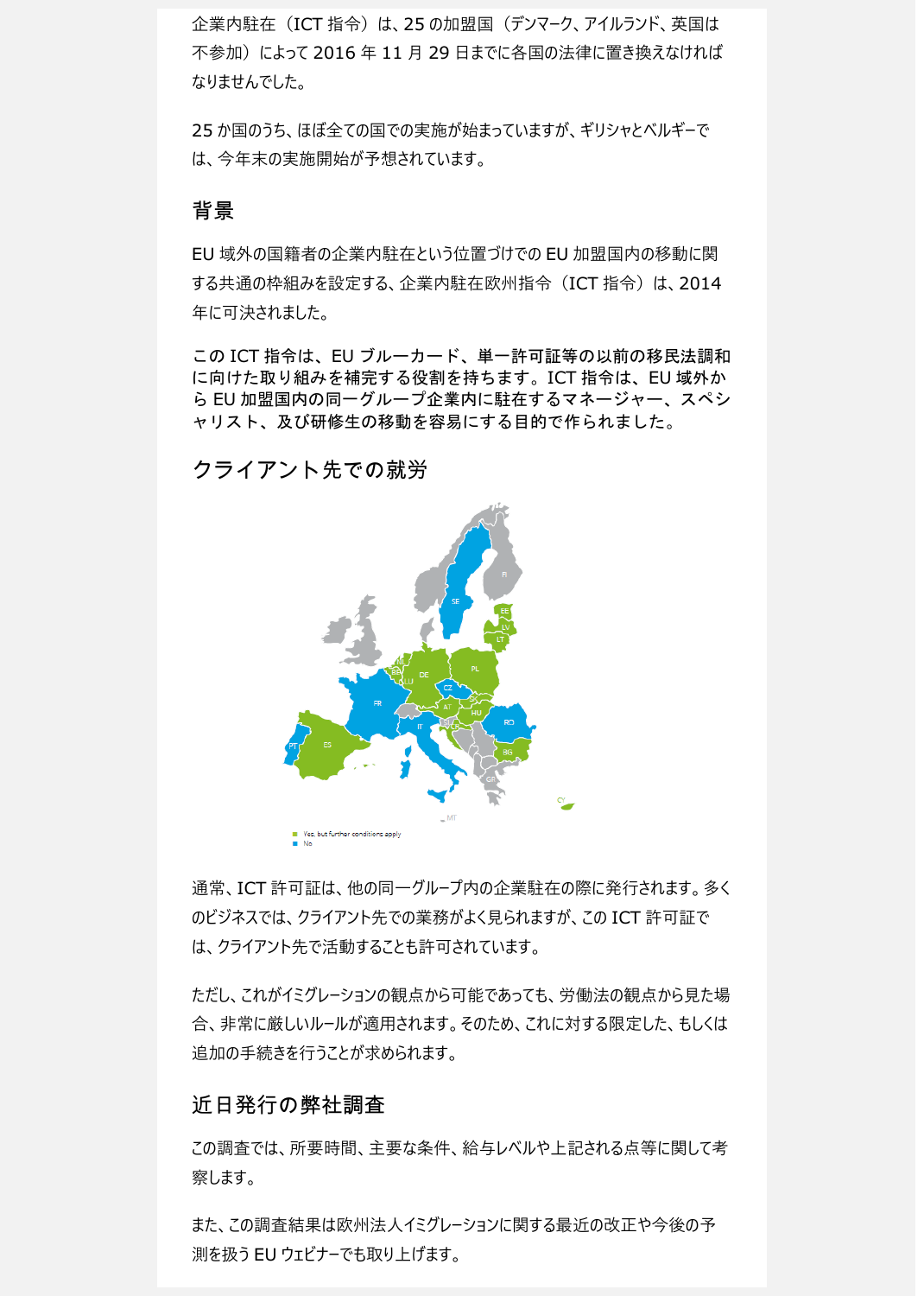企業内駐在 (ICT 指令) は、25 の加盟国 (デンマーク、アイルランド、英国は 不参加)によって 2016 年 11 月 29 日までに各国の法律に置き換えなければ なりませんでした。

25 か国のうち、ほぼ全ての国での実施が始まっていますが、ギリシャとベルギーで は、今年末の実施開始が予想されています。

### 背景

EU 域外の国籍者の企業内駐在という位置づけでの EU 加盟国内の移動に関 する共通の枠組みを設定する、企業内駐在欧州指令 (ICT 指令)は、2014 年に可決されました。

この ICT 指令は、EU ブルーカード、単一許可証等の以前の移民法調和 に向けた取り組みを補完する役割を持ちます。ICT 指令は、EU 域外か ら EU 加盟国内の同一グループ企業内に駐在するマネージャー、スペシ ャリスト、及び研修生の移動を容易にする目的で作られました。

## クライアント先での就労



通常、ICT 許可証は、他の同一グループ内の企業駐在の際に発行されます。多く のビジネスでは、クライアント先での業務がよく見られますが、この ICT 許可証で は、クライアント先で活動することも許可されています。

ただし、これがイミグレーションの観点から可能であっても、労働法の観点から見た場 合、非常に厳しいルールが適用されます。そのため、これに対する限定した、もしくは 追加の手続きを行うことが求められます。

#### 近日発行の弊社調査

この調査では、所要時間、主要な条件、給与レベルや上記される点等に関して考 察します。

また、この調査結果は欧州法人イミグレーションに関する最近の改正や今後の予 測を扱う EU ウェビナーでも取り上げます。